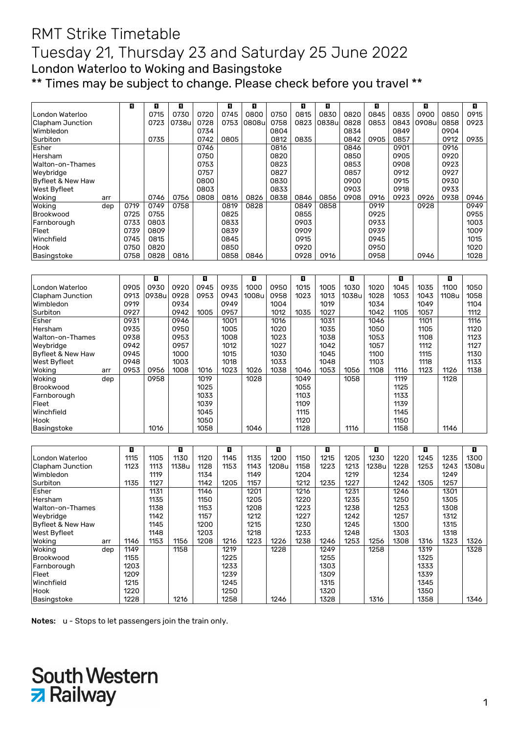## RMT Strike Timetable Tuesday 21, Thursday 23 and Saturday 25 June 2022 London Waterloo to Woking and Basingstoke \*\* Times may be subject to change. Please check before you travel \*\*

|                     |     | П    | п    | П     |      | П    | П      |      | O    | о     |      | п    |      | о      |      | П    |
|---------------------|-----|------|------|-------|------|------|--------|------|------|-------|------|------|------|--------|------|------|
| London Waterloo     |     |      | 0715 | 0730  | 0720 | 0745 | 0800   | 0750 | 0815 | 0830  | 0820 | 0845 | 0835 | 0900   | 0850 | 0915 |
| Clapham Junction    |     |      | 0723 | 0738u | 0728 | 0753 | 0808ul | 0758 | 0823 | 0838u | 0828 | 0853 | 0843 | 0908ul | 0858 | 0923 |
| Wimbledon           |     |      |      |       | 0734 |      |        | 0804 |      |       | 0834 |      | 0849 |        | 0904 |      |
| Surbiton            |     |      | 0735 |       | 0742 | 0805 |        | 0812 | 0835 |       | 0842 | 0905 | 0857 |        | 0912 | 0935 |
| Esher               |     |      |      |       | 0746 |      |        | 0816 |      |       | 0846 |      | 0901 |        | 0916 |      |
| Hersham             |     |      |      |       | 0750 |      |        | 0820 |      |       | 0850 |      | 0905 |        | 0920 |      |
| Walton-on-Thames    |     |      |      |       | 0753 |      |        | 0823 |      |       | 0853 |      | 0908 |        | 0923 |      |
| Weybridge           |     |      |      |       | 0757 |      |        | 0827 |      |       | 0857 |      | 0912 |        | 0927 |      |
| Byfleet & New Haw   |     |      |      |       | 0800 |      |        | 0830 |      |       | 0900 |      | 0915 |        | 0930 |      |
| <b>West Byfleet</b> |     |      |      |       | 0803 |      |        | 0833 |      |       | 0903 |      | 0918 |        | 0933 |      |
| Woking              | arr |      | 0746 | 0756  | 0808 | 0816 | 0826   | 0838 | 0846 | 0856  | 0908 | 0916 | 0923 | 0926   | 0938 | 0946 |
| Woking              | dep | 0719 | 0749 | 0758  |      | 0819 | 0828   |      | 0849 | 0858  |      | 0919 |      | 0928   |      | 0949 |
| Brookwood           |     | 0725 | 0755 |       |      | 0825 |        |      | 0855 |       |      | 0925 |      |        |      | 0955 |
| Farnborough         |     | 0733 | 0803 |       |      | 0833 |        |      | 0903 |       |      | 0933 |      |        |      | 1003 |
| Fleet               |     | 0739 | 0809 |       |      | 0839 |        |      | 0909 |       |      | 0939 |      |        |      | 1009 |
| Winchfield          |     | 0745 | 0815 |       |      | 0845 |        |      | 0915 |       |      | 0945 |      |        |      | 1015 |
| Hook                |     | 0750 | 0820 |       |      | 0850 |        |      | 0920 |       |      | 0950 |      |        |      | 1020 |
| Basingstoke         |     | 0758 | 0828 | 0816  |      | 0858 | 0846   |      | 0928 | 0916  |      | 0958 |      | 0946   |      | 1028 |

|                   |     |      | П     |      | п    |      | П     |      | П    |      | O     |      | о    |      | П     |      |
|-------------------|-----|------|-------|------|------|------|-------|------|------|------|-------|------|------|------|-------|------|
| London Waterloo   |     | 0905 | 0930  | 0920 | 0945 | 0935 | 1000  | 0950 | 1015 | 1005 | 1030  | 1020 | 1045 | 1035 | 1100  | 1050 |
| Clapham Junction  |     | 0913 | 0938u | 0928 | 0953 | 0943 | 1008u | 0958 | 1023 | 1013 | 1038u | 1028 | 1053 | 1043 | 1108u | 1058 |
| Wimbledon         |     | 0919 |       | 0934 |      | 0949 |       | 1004 |      | 1019 |       | 1034 |      | 1049 |       | 1104 |
| Surbiton          |     | 0927 |       | 0942 | 1005 | 0957 |       | 1012 | 1035 | 1027 |       | 1042 | 1105 | 1057 |       | 1112 |
| Esher             |     | 0931 |       | 0946 |      | 1001 |       | 1016 |      | 1031 |       | 1046 |      | 1101 |       | 1116 |
| Hersham           |     | 0935 |       | 0950 |      | 1005 |       | 1020 |      | 1035 |       | 1050 |      | 1105 |       | 1120 |
| Walton-on-Thames  |     | 0938 |       | 0953 |      | 1008 |       | 1023 |      | 1038 |       | 1053 |      | 1108 |       | 1123 |
| Weybridge         |     | 0942 |       | 0957 |      | 1012 |       | 1027 |      | 1042 |       | 1057 |      | 1112 |       | 1127 |
| Byfleet & New Haw |     | 0945 |       | 1000 |      | 1015 |       | 1030 |      | 1045 |       | 1100 |      | 1115 |       | 1130 |
| West Byfleet      |     | 0948 |       | 1003 |      | 1018 |       | 1033 |      | 1048 |       | 1103 |      | 1118 |       | 1133 |
| Woking<br>arr     |     | 0953 | 0956  | 1008 | 1016 | 1023 | 1026  | 1038 | 1046 | 1053 | 1056  | 1108 | 1116 | 1123 | 1126  | 1138 |
| Woking            | dep |      | 0958  |      | 1019 |      | 1028  |      | 1049 |      | 1058  |      | 1119 |      | 1128  |      |
| Brookwood         |     |      |       |      | 1025 |      |       |      | 1055 |      |       |      | 1125 |      |       |      |
| Farnborough       |     |      |       |      | 1033 |      |       |      | 1103 |      |       |      | 1133 |      |       |      |
| Fleet             |     |      |       |      | 1039 |      |       |      | 1109 |      |       |      | 1139 |      |       |      |
| Winchfield        |     |      |       |      | 1045 |      |       |      | 1115 |      |       |      | 1145 |      |       |      |
| Hook              |     |      |       |      | 1050 |      |       |      | 1120 |      |       |      | 1150 |      |       |      |
| Basingstoke       |     |      | 1016  |      | 1058 |      | 1046  |      | 1128 |      | 1116  |      | 1158 |      | 1146  |      |

|                   |     | п    |      | П     |      | П    |      | П     |      | O    |      | П     |      | O    |      | п     |
|-------------------|-----|------|------|-------|------|------|------|-------|------|------|------|-------|------|------|------|-------|
| London Waterloo   |     | 1115 | 1105 | 1130  | 1120 | 1145 | 1135 | 1200  | 1150 | 1215 | 1205 | 1230  | 1220 | 1245 | 1235 | 1300  |
| Clapham Junction  |     | 1123 | 1113 | 1138u | 1128 | 1153 | 1143 | 1208u | 1158 | 1223 | 1213 | 1238u | 1228 | 1253 | 1243 | 1308u |
| Wimbledon         |     |      | 1119 |       | 1134 |      | 1149 |       | 1204 |      | 1219 |       | 1234 |      | 1249 |       |
| Surbiton          |     | 1135 | 1127 |       | 1142 | 1205 | 1157 |       | 1212 | 1235 | 1227 |       | 1242 | 1305 | 1257 |       |
| Esher             |     |      | 1131 |       | 1146 |      | 1201 |       | 1216 |      | 1231 |       | 1246 |      | 1301 |       |
| Hersham           |     |      | 1135 |       | 1150 |      | 1205 |       | 1220 |      | 1235 |       | 1250 |      | 1305 |       |
| Walton-on-Thames  |     |      | 1138 |       | 1153 |      | 1208 |       | 1223 |      | 1238 |       | 1253 |      | 1308 |       |
| Weybridge         |     |      | 1142 |       | 1157 |      | 1212 |       | 1227 |      | 1242 |       | 1257 |      | 1312 |       |
| Byfleet & New Haw |     |      | 1145 |       | 1200 |      | 1215 |       | 1230 |      | 1245 |       | 1300 |      | 1315 |       |
| West Byfleet      |     |      | 1148 |       | 1203 |      | 1218 |       | 1233 |      | 1248 |       | 1303 |      | 1318 |       |
| Woking            | arr | 1146 | 1153 | 1156  | 1208 | 1216 | 1223 | 1226  | 1238 | 1246 | 1253 | 1256  | 1308 | 1316 | 1323 | 1326  |
| Woking            | dep | 1149 |      | 1158  |      | 1219 |      | 1228  |      | 1249 |      | 1258  |      | 1319 |      | 1328  |
| Brookwood         |     | 1155 |      |       |      | 1225 |      |       |      | 1255 |      |       |      | 1325 |      |       |
| Farnborough       |     | 1203 |      |       |      | 1233 |      |       |      | 1303 |      |       |      | 1333 |      |       |
| Fleet             |     | 1209 |      |       |      | 1239 |      |       |      | 1309 |      |       |      | 1339 |      |       |
| Winchfield        |     | 1215 |      |       |      | 1245 |      |       |      | 1315 |      |       |      | 1345 |      |       |
| Hook              |     | 1220 |      |       |      | 1250 |      |       |      | 1320 |      |       |      | 1350 |      |       |
| Basingstoke       |     | 1228 |      | 1216  |      | 1258 |      | 1246  |      | 1328 |      | 1316  |      | 1358 |      | 1346  |

Notes: u - Stops to let passengers join the train only.

# South Western<br>2 Railway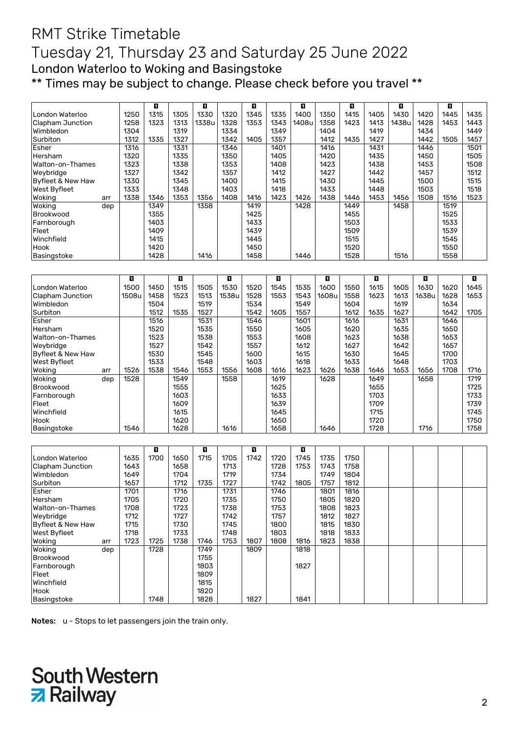## RMT Strike Timetable Tuesday 21, Thursday 23 and Saturday 25 June 2022 London Waterloo to Woking and Basingstoke \*\* Times may be subject to change. Please check before you travel \*\*

|                   |     |      | п    |      | п     |      | П    |      | п     |      | о    |      | п     |      | п    |      |
|-------------------|-----|------|------|------|-------|------|------|------|-------|------|------|------|-------|------|------|------|
| London Waterloo   |     | 1250 | 1315 | 1305 | 1330  | 1320 | 1345 | 1335 | 1400  | 1350 | 1415 | 1405 | 1430  | 1420 | 1445 | 1435 |
| Clapham Junction  |     | 1258 | 1323 | 1313 | 1338u | 1328 | 1353 | 1343 | 1408u | 1358 | 1423 | 1413 | 1438u | 1428 | 1453 | 1443 |
| Wimbledon         |     | 1304 |      | 1319 |       | 1334 |      | 1349 |       | 1404 |      | 1419 |       | 1434 |      | 1449 |
| Surbiton          |     | 1312 | 1335 | 1327 |       | 1342 | 1405 | 1357 |       | 1412 | 1435 | 1427 |       | 1442 | 1505 | 1457 |
| Esher             |     | 1316 |      | 1331 |       | 1346 |      | 1401 |       | 1416 |      | 1431 |       | 1446 |      | 1501 |
| Hersham           |     | 1320 |      | 1335 |       | 1350 |      | 1405 |       | 1420 |      | 1435 |       | 1450 |      | 1505 |
| Walton-on-Thames  |     | 1323 |      | 1338 |       | 1353 |      | 1408 |       | 1423 |      | 1438 |       | 1453 |      | 1508 |
| Weybridge         |     | 1327 |      | 1342 |       | 1357 |      | 1412 |       | 1427 |      | 1442 |       | 1457 |      | 1512 |
| Byfleet & New Haw |     | 1330 |      | 1345 |       | 1400 |      | 1415 |       | 1430 |      | 1445 |       | 1500 |      | 1515 |
| West Byfleet      |     | 1333 |      | 1348 |       | 1403 |      | 1418 |       | 1433 |      | 1448 |       | 1503 |      | 1518 |
| Woking            | arr | 1338 | 1346 | 1353 | 1356  | 1408 | 1416 | 1423 | 1426  | 1438 | 1446 | 1453 | 1456  | 1508 | 1516 | 1523 |
| Woking            | dep |      | 1349 |      | 1358  |      | 1419 |      | 1428  |      | 1449 |      | 1458  |      | 1519 |      |
| Brookwood         |     |      | 1355 |      |       |      | 1425 |      |       |      | 1455 |      |       |      | 1525 |      |
| Farnborough       |     |      | 1403 |      |       |      | 1433 |      |       |      | 1503 |      |       |      | 1533 |      |
| Fleet             |     |      | 1409 |      |       |      | 1439 |      |       |      | 1509 |      |       |      | 1539 |      |
| Winchfield        |     |      | 1415 |      |       |      | 1445 |      |       |      | 1515 |      |       |      | 1545 |      |
| Hook              |     |      | 1420 |      |       |      | 1450 |      |       |      | 1520 |      |       |      | 1550 |      |
| Basingstoke       |     |      | 1428 |      | 1416  |      | 1458 |      | 1446  |      | 1528 |      | 1516  |      | 1558 |      |

|                   |     | П     |      | п    |      | П     |      | о    |      | о     |      | П    |      | п     |      | п    |
|-------------------|-----|-------|------|------|------|-------|------|------|------|-------|------|------|------|-------|------|------|
| London Waterloo   |     | 1500  | 1450 | 1515 | 1505 | 1530  | 1520 | 1545 | 1535 | 1600  | 1550 | 1615 | 1605 | 1630  | 1620 | 1645 |
| Clapham Junction  |     | 1508u | 1458 | 1523 | 1513 | 1538u | 1528 | 1553 | 1543 | 1608u | 1558 | 1623 | 1613 | 1638u | 1628 | 1653 |
| Wimbledon         |     |       | 1504 |      | 1519 |       | 1534 |      | 1549 |       | 1604 |      | 1619 |       | 1634 |      |
| Surbiton          |     |       | 1512 | 1535 | 1527 |       | 1542 | 1605 | 1557 |       | 1612 | 1635 | 1627 |       | 1642 | 1705 |
| Esher             |     |       | 1516 |      | 1531 |       | 1546 |      | 1601 |       | 1616 |      | 1631 |       | 1646 |      |
| Hersham           |     |       | 1520 |      | 1535 |       | 1550 |      | 1605 |       | 1620 |      | 1635 |       | 1650 |      |
| Walton-on-Thames  |     |       | 1523 |      | 1538 |       | 1553 |      | 1608 |       | 1623 |      | 1638 |       | 1653 |      |
| Weybridge         |     |       | 1527 |      | 1542 |       | 1557 |      | 1612 |       | 1627 |      | 1642 |       | 1657 |      |
| Byfleet & New Haw |     |       | 1530 |      | 1545 |       | 1600 |      | 1615 |       | 1630 |      | 1645 |       | 1700 |      |
| West Byfleet      |     |       | 1533 |      | 1548 |       | 1603 |      | 1618 |       | 1633 |      | 1648 |       | 1703 |      |
| Woking            | arr | 1526  | 1538 | 1546 | 1553 | 1556  | 1608 | 1616 | 1623 | 1626  | 1638 | 1646 | 1653 | 1656  | 1708 | 1716 |
| Woking            | dep | 1528  |      | 1549 |      | 1558  |      | 1619 |      | 1628  |      | 1649 |      | 1658  |      | 1719 |
| Brookwood         |     |       |      | 1555 |      |       |      | 1625 |      |       |      | 1655 |      |       |      | 1725 |
| Farnborough       |     |       |      | 1603 |      |       |      | 1633 |      |       |      | 1703 |      |       |      | 1733 |
| Fleet             |     |       |      | 1609 |      |       |      | 1639 |      |       |      | 1709 |      |       |      | 1739 |
| Winchfield        |     |       |      | 1615 |      |       |      | 1645 |      |       |      | 1715 |      |       |      | 1745 |
| Hook              |     |       |      | 1620 |      |       |      | 1650 |      |       |      | 1720 |      |       |      | 1750 |
| Basingstoke       |     | 1546  |      | 1628 |      | 1616  |      | 1658 |      | 1646  |      | 1728 |      | 1716  |      | 1758 |

|                     |      | П    |      | п    |      | П    |      | п    |      |      |  |  |  |
|---------------------|------|------|------|------|------|------|------|------|------|------|--|--|--|
| London Waterloo     | 1635 | 1700 | 1650 | 1715 | 1705 | 1742 | 1720 | 1745 | 1735 | 1750 |  |  |  |
| Clapham Junction    | 1643 |      | 1658 |      | 1713 |      | 1728 | 1753 | 1743 | 1758 |  |  |  |
| Wimbledon           | 1649 |      | 1704 |      | 1719 |      | 1734 |      | 1749 | 1804 |  |  |  |
| Surbiton            | 1657 |      | 1712 | 1735 | 1727 |      | 1742 | 1805 | 1757 | 1812 |  |  |  |
| Esher               | 1701 |      | 1716 |      | 1731 |      | 1746 |      | 1801 | 1816 |  |  |  |
| Hersham             | 1705 |      | 1720 |      | 1735 |      | 1750 |      | 1805 | 1820 |  |  |  |
| Walton-on-Thames    | 1708 |      | 1723 |      | 1738 |      | 1753 |      | 1808 | 1823 |  |  |  |
| Weybridge           | 1712 |      | 1727 |      | 1742 |      | 1757 |      | 1812 | 1827 |  |  |  |
| Byfleet & New Haw   | 1715 |      | 1730 |      | 1745 |      | 1800 |      | 1815 | 1830 |  |  |  |
| <b>West Byfleet</b> | 1718 |      | 1733 |      | 1748 |      | 1803 |      | 1818 | 1833 |  |  |  |
| Woking<br>arr       | 1723 | 1725 | 1738 | 1746 | 1753 | 1807 | 1808 | 1816 | 1823 | 1838 |  |  |  |
| Woking<br>dep       |      | 1728 |      | 1749 |      | 1809 |      | 1818 |      |      |  |  |  |
| Brookwood           |      |      |      | 1755 |      |      |      |      |      |      |  |  |  |
| Farnborough         |      |      |      | 1803 |      |      |      | 1827 |      |      |  |  |  |
| Fleet               |      |      |      | 1809 |      |      |      |      |      |      |  |  |  |
| Winchfield          |      |      |      | 1815 |      |      |      |      |      |      |  |  |  |
| Hook                |      |      |      | 1820 |      |      |      |      |      |      |  |  |  |
| Basingstoke         |      | 1748 |      | 1828 |      | 1827 |      | 1841 |      |      |  |  |  |

Notes: u - Stops to let passengers join the train only.

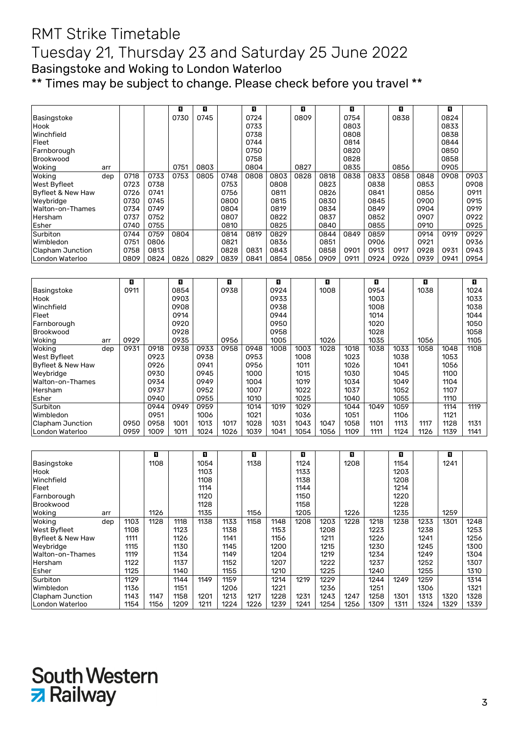#### RMT Strike Timetable Tuesday 21, Thursday 23 and Saturday 25 June 2022 Basingstoke and Woking to London Waterloo \*\* Times may be subject to change. Please check before you travel \*\*

|                         |     |      |      | п                | O    |      | П    |      | O    |      | O    |      | O    |      | O                |      |
|-------------------------|-----|------|------|------------------|------|------|------|------|------|------|------|------|------|------|------------------|------|
| Basingstoke             |     |      |      | 0730             | 0745 |      | 0724 |      | 0809 |      | 0754 |      | 0838 |      | 0824             |      |
| Hook                    |     |      |      |                  |      |      | 0733 |      |      |      | 0803 |      |      |      | 0833             |      |
| Winchfield              |     |      |      |                  |      |      | 0738 |      |      |      | 0808 |      |      |      | 0838             |      |
| Fleet                   |     |      |      |                  |      |      | 0744 |      |      |      | 0814 |      |      |      | 0844             |      |
| Farnborough             |     |      |      |                  |      |      | 0750 |      |      |      | 0820 |      |      |      | 0850             |      |
| Brookwood               |     |      |      |                  |      |      | 0758 |      |      |      | 0828 |      |      |      | 0858             |      |
| Woking                  | arr |      |      | 0751             | 0803 |      | 0804 |      | 0827 |      | 0835 |      | 0856 |      | 0905             |      |
| Woking                  | dep | 0718 | 0733 | 0753             | 0805 | 0748 | 0808 | 0803 | 0828 | 0818 | 0838 | 0833 | 0858 | 0848 | 0908             | 0903 |
| West Byfleet            |     | 0723 | 0738 |                  |      | 0753 |      | 0808 |      | 0823 |      | 0838 |      | 0853 |                  | 0908 |
| Byfleet & New Haw       |     | 0726 | 0741 |                  |      | 0756 |      | 0811 |      | 0826 |      | 0841 |      | 0856 |                  | 0911 |
| Weybridge               |     | 0730 | 0745 |                  |      | 0800 |      | 0815 |      | 0830 |      | 0845 |      | 0900 |                  | 0915 |
| Walton-on-Thames        |     | 0734 | 0749 |                  |      | 0804 |      | 0819 |      | 0834 |      | 0849 |      | 0904 |                  | 0919 |
| Hersham                 |     | 0737 | 0752 |                  |      | 0807 |      | 0822 |      | 0837 |      | 0852 |      | 0907 |                  | 0922 |
| Esher                   |     | 0740 | 0755 |                  |      | 0810 |      | 0825 |      | 0840 |      | 0855 |      | 0910 |                  | 0925 |
| Surbiton                |     | 0744 | 0759 | $\frac{1}{0804}$ |      | 0814 | 0819 | 0829 |      | 0844 | 0849 | 0859 |      | 0914 | 0919             | 0929 |
| Wimbledon               |     | 0751 | 0806 |                  |      | 0821 |      | 0836 |      | 0851 |      | 0906 |      | 0921 |                  | 0936 |
| <b>Clapham Junction</b> |     | 0758 | 0813 |                  |      | 0828 | 0831 | 0843 |      | 0858 | 0901 | 0913 | 0917 | 0928 | 0931             | 0943 |
| London Waterloo         |     | 0809 | 0824 | 0826             | 0829 | 0839 | 0841 | 0854 | 0856 | 0909 | 0911 | 0924 | 0926 | 0939 | 0941             | 0954 |
|                         |     |      |      |                  |      |      |      |      |      |      |      |      |      |      |                  |      |
|                         |     |      |      |                  |      |      |      |      |      |      |      |      |      |      |                  |      |
|                         |     |      |      |                  |      |      |      |      |      |      |      |      |      |      |                  |      |
|                         |     | O    |      | O                |      | O    |      | O    |      | o    |      | O    |      | O    |                  | O    |
| Basingstoke             |     | 0911 |      | 0854             |      | 0938 |      | 0924 |      | 1008 |      | 0954 |      | 1038 |                  | 1024 |
| Hook                    |     |      |      | 0903             |      |      |      | 0933 |      |      |      | 1003 |      |      |                  | 1033 |
| Winchfield              |     |      |      | 0908             |      |      |      | 0938 |      |      |      | 1008 |      |      |                  | 1038 |
| Fleet                   |     |      |      | 0914             |      |      |      | 0944 |      |      |      | 1014 |      |      |                  | 1044 |
| Farnborough             |     |      |      | 0920             |      |      |      | 0950 |      |      |      | 1020 |      |      |                  | 1050 |
| Brookwood               |     |      |      | 0928             |      |      |      | 0958 |      |      |      | 1028 |      |      |                  | 1058 |
| Woking                  | arr | 0929 |      | 0935             |      | 0956 |      | 1005 |      | 1026 |      | 1035 |      | 1056 |                  | 1105 |
| Woking                  | dep | 0931 | 0918 | 0938             | 0933 | 0958 | 0948 | 1008 | 1003 | 1028 | 1018 | 1038 | 1033 | 1058 | 1048             | 1108 |
| West Byfleet            |     |      | 0923 |                  | 0938 |      | 0953 |      | 1008 |      | 1023 |      | 1038 |      | 1053             |      |
| Byfleet & New Haw       |     |      | 0926 |                  | 0941 |      | 0956 |      | 1011 |      | 1026 |      | 1041 |      | 1056             |      |
| Wevbridge               |     |      | 0930 |                  | 0945 |      | 1000 |      | 1015 |      | 1030 |      | 1045 |      | 1100             |      |
| Walton-on-Thames        |     |      | 0934 |                  | 0949 |      | 1004 |      | 1019 |      | 1034 |      | 1049 |      | 1104             |      |
| Hersham                 |     |      | 0937 |                  | 0952 |      | 1007 |      | 1022 |      | 1037 |      | 1052 |      | 1107             |      |
| Esher                   |     |      | 0940 |                  | 0955 |      | 1010 |      | 1025 |      | 1040 |      | 1055 |      | 1110             |      |
| Surbiton                |     |      | 0944 | 0949             | 0959 |      | 1014 | 1019 | 1029 |      | 1044 | 1049 | 1059 |      | $\frac{1114}{x}$ | 1119 |
| Wimbledon               |     |      | 0951 |                  | 1006 |      | 1021 |      | 1036 |      | 1051 |      | 1106 |      | 1121             |      |
| Clapham Junction        |     | 0950 | 0958 | 1001             | 1013 | 1017 | 1028 | 1031 | 1043 | 1047 | 1058 | 1101 | 1113 | 1117 | 1128             | 1131 |
| London Waterloo         |     | 0959 | 1009 | 1011             | 1024 | 1026 | 1039 | 1041 | 1054 | 1056 | 1109 | 1111 | 1124 | 1126 | 1139             | 1141 |
|                         |     |      |      |                  |      |      |      |      |      |      |      |      |      |      |                  |      |

|                   |     |      | П    |      | п    |      | п    |      | п    |      | п    |      | П    |      | П    |      |
|-------------------|-----|------|------|------|------|------|------|------|------|------|------|------|------|------|------|------|
| Basingstoke       |     |      | 1108 |      | 1054 |      | 1138 |      | 1124 |      | 1208 |      | 1154 |      | 1241 |      |
| Hook              |     |      |      |      | 1103 |      |      |      | 1133 |      |      |      | 1203 |      |      |      |
| Winchfield        |     |      |      |      | 1108 |      |      |      | 1138 |      |      |      | 1208 |      |      |      |
| Fleet             |     |      |      |      | 1114 |      |      |      | 1144 |      |      |      | 1214 |      |      |      |
| Farnborough       |     |      |      |      | 1120 |      |      |      | 1150 |      |      |      | 1220 |      |      |      |
| Brookwood         |     |      |      |      | 1128 |      |      |      | 1158 |      |      |      | 1228 |      |      |      |
| Woking<br>arr     |     |      | 1126 |      | 1135 |      | 1156 |      | 1205 |      | 1226 |      | 1235 |      | 1259 |      |
| Woking            | dep | 1103 | 1128 | 1118 | 1138 | 1133 | 1158 | 1148 | 1208 | 1203 | 1228 | 1218 | 1238 | 1233 | 1301 | 1248 |
| West Byfleet      |     | 1108 |      | 1123 |      | 1138 |      | 1153 |      | 1208 |      | 1223 |      | 1238 |      | 1253 |
| Byfleet & New Haw |     | 1111 |      | 1126 |      | 1141 |      | 1156 |      | 1211 |      | 1226 |      | 1241 |      | 1256 |
| Weybridge         |     | 1115 |      | 1130 |      | 1145 |      | 1200 |      | 1215 |      | 1230 |      | 1245 |      | 1300 |
| Walton-on-Thames  |     | 1119 |      | 1134 |      | 1149 |      | 1204 |      | 1219 |      | 1234 |      | 1249 |      | 1304 |
| Hersham           |     | 1122 |      | 1137 |      | 1152 |      | 1207 |      | 1222 |      | 1237 |      | 1252 |      | 1307 |
| Esher             |     | 1125 |      | 1140 |      | 1155 |      | 1210 |      | 1225 |      | 1240 |      | 1255 |      | 1310 |
| Surbiton          |     | 1129 |      | 1144 | 1149 | 1159 |      | 1214 | 1219 | 1229 |      | 1244 | 1249 | 1259 |      | 1314 |
| Wimbledon         |     | 1136 |      | 1151 |      | 1206 |      | 1221 |      | 1236 |      | 1251 |      | 1306 |      | 1321 |
| Clapham Junction  |     | 1143 | 1147 | 1158 | 1201 | 1213 | 1217 | 1228 | 1231 | 1243 | 1247 | 1258 | 1301 | 1313 | 1320 | 1328 |
| London Waterloo   |     | 1154 | 1156 | 1209 | 1211 | 1224 | 1226 | 1239 | 1241 | 1254 | 1256 | 1309 | 1311 | 1324 | 1329 | 1339 |